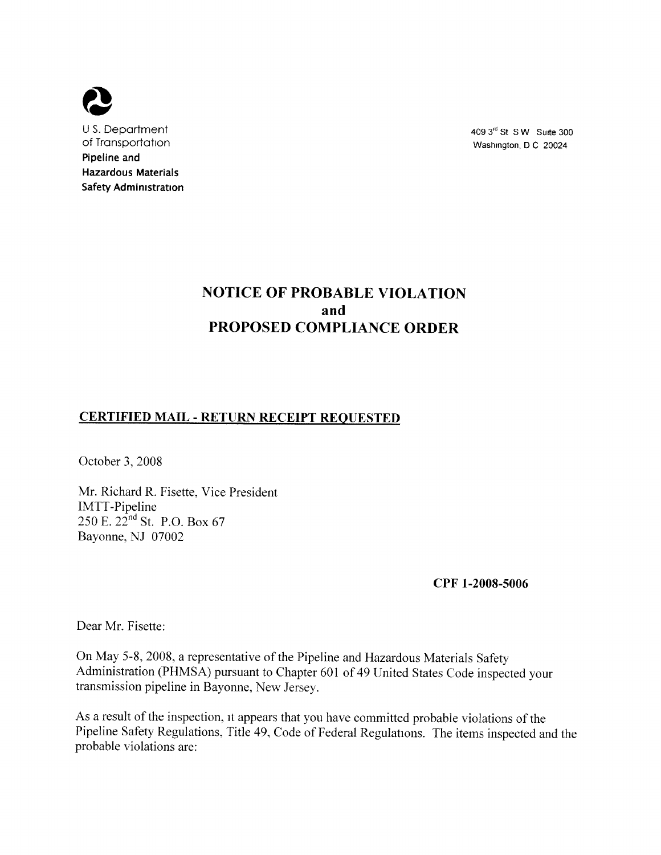

<sup>U</sup>S. Department of Transportation Pipeline and Hazardous Materials Safety Administration

4093" St SW Suite 300 Washington, D C 20024

# NOTICE OF PROBABLE VIOLATION and PROPOSED COMPLIANCE ORDER

## CERTIFIED MAIL - RETURN RECEIPT REQUESTED

October 3, 2008

Mr. Richard R. Fisette, Vice President IMTT-Pipeline 250 E. 22<sup>nd</sup> St. P.O. Box 67 Bayonne, NJ 07002

CPF 1-2008-5006

Dear Mr. Fisette:

On May 5-8, 2008, a representative of the Pipeline and Hazardous Materials Safety Administration (PHMSA) pursuant to Chapter 601 of 49 United States Code inspected your transmission pipeline in Bayonne, New Jersey.

As a result of the inspection, it appears that you have committed probable violations of the Pipeline Safety Regulations, Title 49, Code of Federal Regulations. The items inspected and the probable violations are: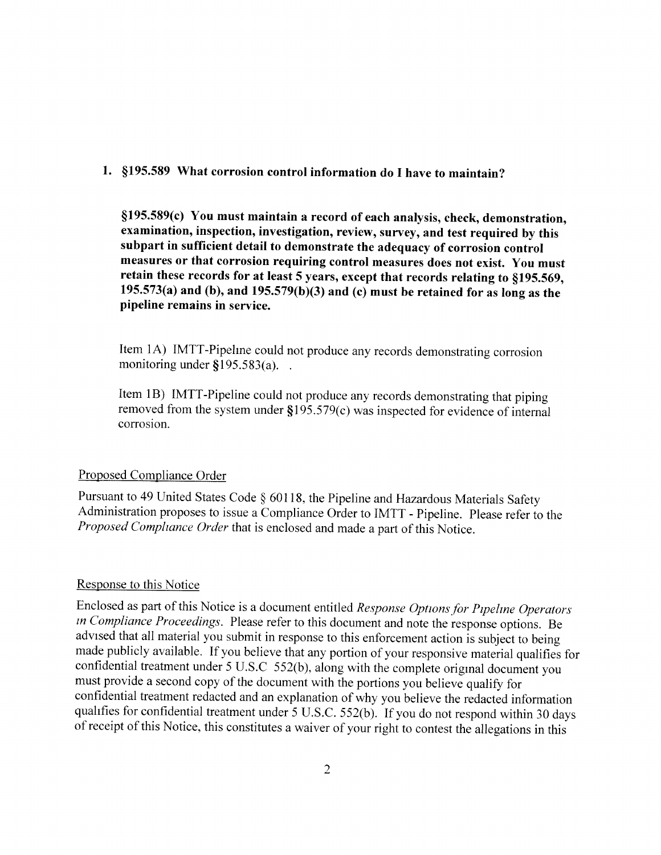#### l. \$195. 589 What corrosion control information do I have to maintain?

\$195. 589(c) You must maintain a record of each analysis, check, demonstration, examination, inspection, investigation, review, survey, and test required by this subpart in sufficient detail to demonstrate the adequacy of corrosion control measures or that corrosion requiring control measures does not exist. You must retain these records for at least 5 years, except that records relating to §195.569, 195.573(a) and (b), and 195.579(b)(3) and (c) must be retained for as long as the pipeline remains in service.

Item 1A) IMTT-Pipelme could not produce any records demonstrating corrosion monitoring under  $$195.583(a)$ ...

Item 1B) IMTT-Pipeline could not produce any records demonstrating that piping removed from the system under \$195. 579(c) was inspected for evidence of internal corrosion.

#### Proposed Compliance Order

Pursuant to 49 United States Code § 60118, the Pipeline and Hazardous Materials Safety Administration proposes to issue a Compliance Order to IMTT - Pipeline. Please refer to the Proposed Compliance Order that is enclosed and made a part of this Notice.

### Response to this Notice

Enclosed as part of this Notice is a document entitled Response Options for Pipeline Operators in Compliance Proceedings. Please refer to this document and note the response options. Be advised that all material you submit in response to this enforcement action is subject to being made publicly available. If you believe that any portion of your responsive material qualifies for confidential treatment under 5 U.S.C 552(b), along with the complete original document you must provide a second copy of the document with the portions you believe qualify for confidential treatment redacted and an explanation of why you believe the redacted information qualifies for confidential treatment under 5 U.S.C. 552(b). If you do not respond within 30 days of receipt of this Notice, this constitutes a waiver of your right to contest the allegations in this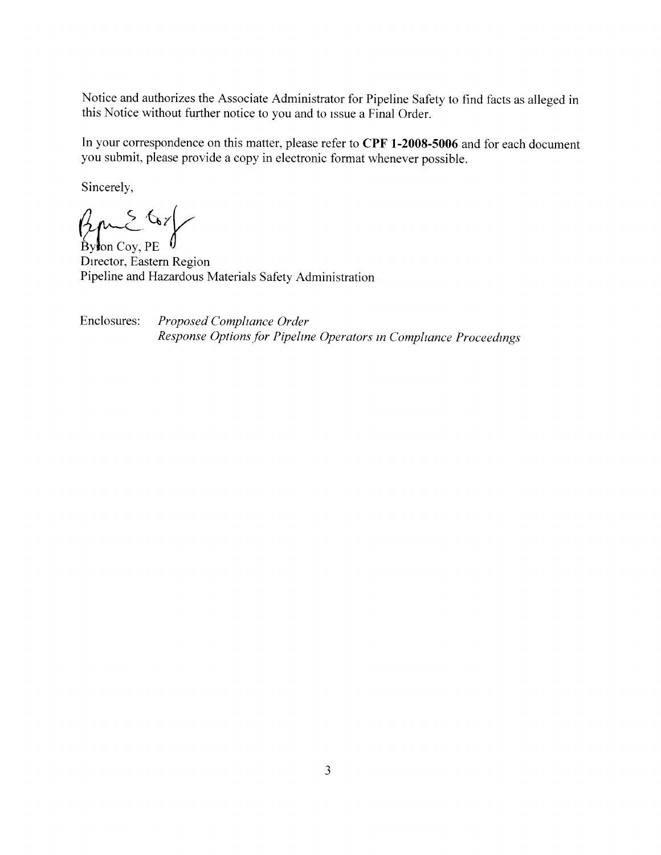Notice and authorizes the Associate Administrator for Pipeline Safety to find facts as alleged in this Notice without further notice to you and to issue a Final Order.

In your correspondence on this matter, please refer to CPF 1-2008-5006 and for each document you submit, please provide a copy in electronic format whenever possible.

Sincerely,

 $\beta_{\text{phon Cov, PE}}$ 

Director, Eastern Region Pipeline and Hazardous Materials Safety Administration

Enclosures: Proposed Compliance Order Response Options for Pipeline Operators in Compliance Proceedings